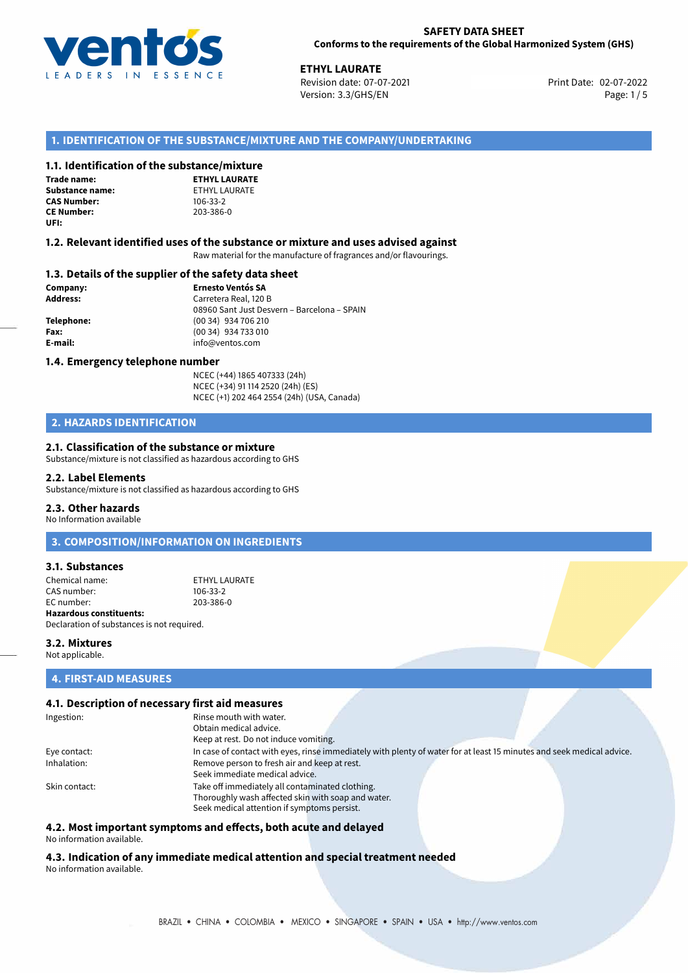

02-07-2022 **ETHYL LAURATE** Revision date: 07-07-2021 Print Date: Version: 3.3/GHS/EN Page: 1/5

# **1. IDENTIFICATION OF THE SUBSTANCE/MIXTURE AND THE COMPANY/UNDERTAKING**

# **1.1. Identification of the substance/mixture**

**Trade name: Substance name:** ETHYL LAURATE<br> **CAS Number:** 106-33-2 **CAS Number: CE Number:** 203-386-0 **UFI:**

**ETHYL LAURATE**

## **1.2. Relevant identified uses of the substance or mixture and uses advised against**

Raw material for the manufacture of fragrances and/or flavourings.

### **1.3. Details of the supplier of the safety data sheet**

**Company: Ernesto Ventós SA Address:** Carretera Real, 120 B 08960 Sant Just Desvern – Barcelona – SPAIN **Telephone:** (00 34) 934 706 210 **Fax:** (00 34) 934 733 010 **E-mail:** info@ventos.com

### **1.4. Emergency telephone number**

NCEC (+44) 1865 407333 (24h) NCEC (+34) 91 114 2520 (24h) (ES) NCEC (+1) 202 464 2554 (24h) (USA, Canada)

# **2. HAZARDS IDENTIFICATION**

# **2.1. Classification of the substance or mixture**

Substance/mixture is not classified as hazardous according to GHS

### **2.2. Label Elements**

Substance/mixture is not classified as hazardous according to GHS

### **2.3. Other hazards**

No Information available

**3. COMPOSITION/INFORMATION ON INGREDIENTS**

## **3.1. Substances**

Chemical name:<br>
CAS number:<br>
CAS number:<br>
106-33-2 CAS number: EC number: 203-386-0 **Hazardous constituents:**

Declaration of substances is not required.

### **3.2. Mixtures**

Not applicable.

# **4. FIRST-AID MEASURES**

# **4.1. Description of necessary first aid measures**

| Ingestion:    | Rinse mouth with water.                                                                                               |
|---------------|-----------------------------------------------------------------------------------------------------------------------|
|               | Obtain medical advice.                                                                                                |
|               | Keep at rest. Do not induce vomiting.                                                                                 |
| Eye contact:  | In case of contact with eyes, rinse immediately with plenty of water for at least 15 minutes and seek medical advice. |
| Inhalation:   | Remove person to fresh air and keep at rest.                                                                          |
|               | Seek immediate medical advice.                                                                                        |
| Skin contact: | Take off immediately all contaminated clothing.                                                                       |
|               | Thoroughly wash affected skin with soap and water.                                                                    |
|               | Seek medical attention if symptoms persist.                                                                           |

# **4.2. Most important symptoms and effects, both acute and delayed**

No information available.

**4.3. Indication of any immediate medical attention and special treatment needed** No information available.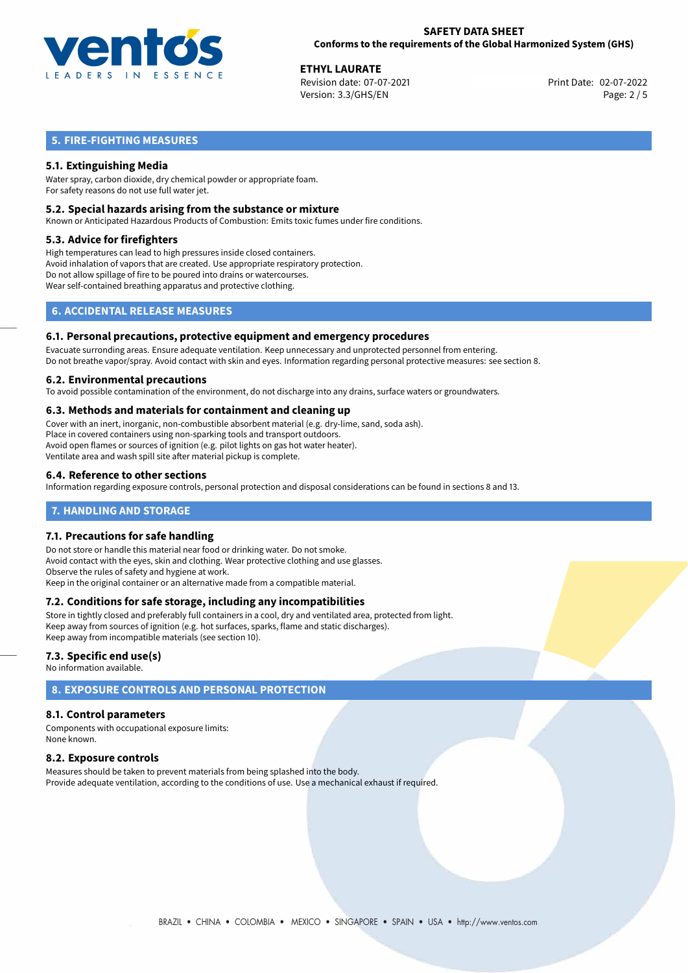

02-07-2022 **ETHYL LAURATE** Revision date: 07-07-2021 Version: 3.3/GHS/EN Page: 2 / 5

# **5. FIRE-FIGHTING MEASURES**

# **5.1. Extinguishing Media**

Water spray, carbon dioxide, dry chemical powder or appropriate foam. For safety reasons do not use full water jet.

## **5.2. Special hazards arising from the substance or mixture**

Known or Anticipated Hazardous Products of Combustion: Emits toxic fumes under fire conditions.

## **5.3. Advice for firefighters**

High temperatures can lead to high pressures inside closed containers. Avoid inhalation of vapors that are created. Use appropriate respiratory protection. Do not allow spillage of fire to be poured into drains or watercourses. Wear self-contained breathing apparatus and protective clothing.

# **6. ACCIDENTAL RELEASE MEASURES**

### **6.1. Personal precautions, protective equipment and emergency procedures**

Evacuate surronding areas. Ensure adequate ventilation. Keep unnecessary and unprotected personnel from entering. Do not breathe vapor/spray. Avoid contact with skin and eyes. Information regarding personal protective measures: see section 8.

### **6.2. Environmental precautions**

To avoid possible contamination of the environment, do not discharge into any drains, surface waters or groundwaters.

# **6.3. Methods and materials for containment and cleaning up**

Cover with an inert, inorganic, non-combustible absorbent material (e.g. dry-lime, sand, soda ash). Place in covered containers using non-sparking tools and transport outdoors. Avoid open flames or sources of ignition (e.g. pilot lights on gas hot water heater). Ventilate area and wash spill site after material pickup is complete.

# **6.4. Reference to other sections**

Information regarding exposure controls, personal protection and disposal considerations can be found in sections 8 and 13.

# **7. HANDLING AND STORAGE**

# **7.1. Precautions for safe handling**

Do not store or handle this material near food or drinking water. Do not smoke. Avoid contact with the eyes, skin and clothing. Wear protective clothing and use glasses. Observe the rules of safety and hygiene at work. Keep in the original container or an alternative made from a compatible material.

# **7.2. Conditions for safe storage, including any incompatibilities**

Store in tightly closed and preferably full containers in a cool, dry and ventilated area, protected from light. Keep away from sources of ignition (e.g. hot surfaces, sparks, flame and static discharges). Keep away from incompatible materials (see section 10).

# **7.3. Specific end use(s)**

No information available.

# **8. EXPOSURE CONTROLS AND PERSONAL PROTECTION**

# **8.1. Control parameters**

Components with occupational exposure limits: None known.

# **8.2. Exposure controls**

Measures should be taken to prevent materials from being splashed into the body. Provide adequate ventilation, according to the conditions of use. Use a mechanical exhaust if required.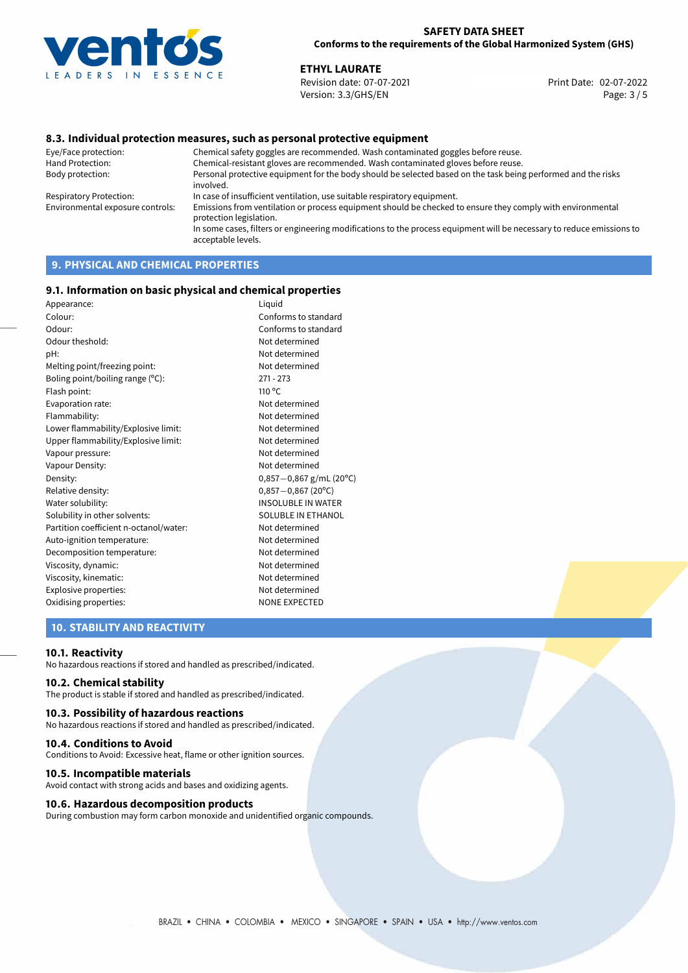

02-07-2022 **ETHYL LAURATE** Revision date: 07-07-2021 Print Date: Version: 3.3/GHS/EN Page: 3 / 5

# **8.3. Individual protection measures, such as personal protective equipment**

Eye/Face protection: Chemical safety goggles are recommended. Wash contaminated goggles before reuse. Chemical-resistant gloves are recommended. Wash contaminated gloves before reuse. Body protection: Personal protective equipment for the body should be selected based on the task being performed and the risks involved. Respiratory Protection: In case of insufficient ventilation, use suitable respiratory equipment. Environmental exposure controls: Emissions from ventilation or process equipment should be checked to ensure they comply with environmental protection legislation. In some cases, filters or engineering modifications to the process equipment will be necessary to reduce emissions to acceptable levels.

# **9. PHYSICAL AND CHEMICAL PROPERTIES**

### **9.1. Information on basic physical and chemical properties**

| Liquid                    |
|---------------------------|
| Conforms to standard      |
| Conforms to standard      |
| Not determined            |
| Not determined            |
| Not determined            |
| $271 - 273$               |
| 110 °C                    |
| Not determined            |
| Not determined            |
| Not determined            |
| Not determined            |
| Not determined            |
| Not determined            |
| $0,857-0,867$ g/mL (20°C) |
| $0,857 - 0,867$ (20°C)    |
| <b>INSOLUBLE IN WATER</b> |
| SOLUBLE IN ETHANOL        |
| Not determined            |
| Not determined            |
| Not determined            |
| Not determined            |
| Not determined            |
| Not determined            |
| <b>NONE EXPECTED</b>      |
|                           |

# **10. STABILITY AND REACTIVITY**

### **10.1. Reactivity**

No hazardous reactions if stored and handled as prescribed/indicated.

# **10.2. Chemical stability**

The product is stable if stored and handled as prescribed/indicated.

### **10.3. Possibility of hazardous reactions**

No hazardous reactions if stored and handled as prescribed/indicated.

### **10.4. Conditions to Avoid**

Conditions to Avoid: Excessive heat, flame or other ignition sources.

### **10.5. Incompatible materials**

Avoid contact with strong acids and bases and oxidizing agents.

## **10.6. Hazardous decomposition products**

During combustion may form carbon monoxide and unidentified organic compounds.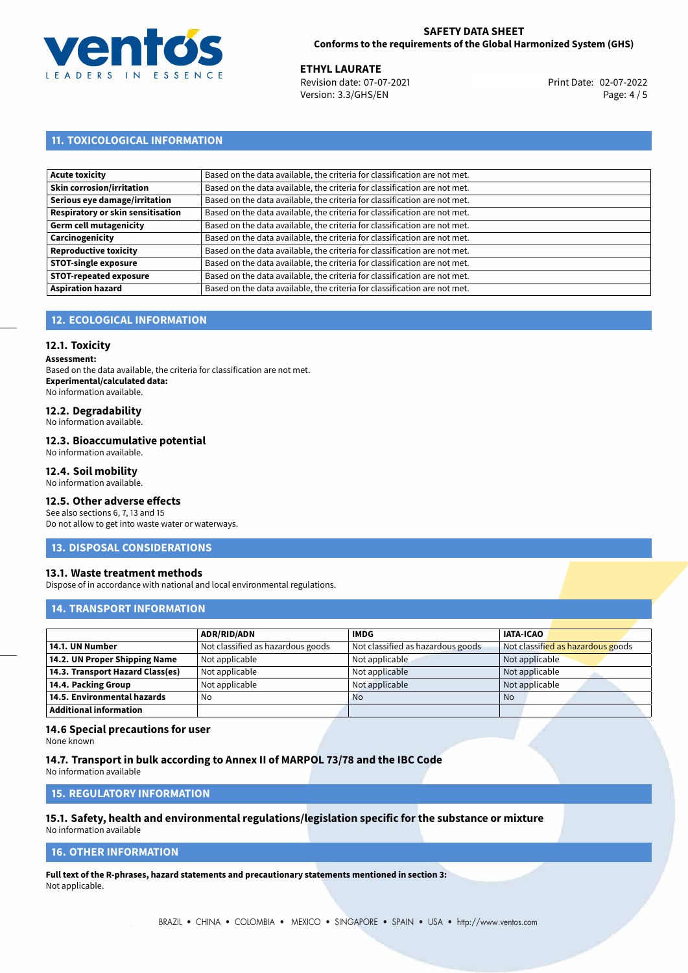

02-07-2022 **ETHYL LAURATE** Revision date: 07-07-2021 Print Date: Version: 3.3/GHS/EN Page: 4/5

# **11. TOXICOLOGICAL INFORMATION**

| <b>Acute toxicity</b>             | Based on the data available, the criteria for classification are not met. |
|-----------------------------------|---------------------------------------------------------------------------|
| <b>Skin corrosion/irritation</b>  | Based on the data available, the criteria for classification are not met. |
| Serious eye damage/irritation     | Based on the data available, the criteria for classification are not met. |
| Respiratory or skin sensitisation | Based on the data available, the criteria for classification are not met. |
| Germ cell mutagenicity            | Based on the data available, the criteria for classification are not met. |
| Carcinogenicity                   | Based on the data available, the criteria for classification are not met. |
| <b>Reproductive toxicity</b>      | Based on the data available, the criteria for classification are not met. |
| <b>STOT-single exposure</b>       | Based on the data available, the criteria for classification are not met. |
| <b>STOT-repeated exposure</b>     | Based on the data available, the criteria for classification are not met. |
| <b>Aspiration hazard</b>          | Based on the data available, the criteria for classification are not met. |

# **12. ECOLOGICAL INFORMATION**

# **12.1. Toxicity**

**Assessment:**

Based on the data available, the criteria for classification are not met. **Experimental/calculated data:** No information available.

# **12.2. Degradability**

No information available.

## **12.3. Bioaccumulative potential**

No information available.

# **12.4. Soil mobility**

No information available.

# **12.5. Other adverse effects**

See also sections 6, 7, 13 and 15 Do not allow to get into waste water or waterways.

# **13. DISPOSAL CONSIDERATIONS**

# **13.1. Waste treatment methods**

Dispose of in accordance with national and local environmental regulations.

# **14. TRANSPORT INFORMATION**

|                                  | <b>ADR/RID/ADN</b>                | <b>IMDG</b>                       | <b>IATA-ICAO</b>                  |
|----------------------------------|-----------------------------------|-----------------------------------|-----------------------------------|
| 14.1. UN Number                  | Not classified as hazardous goods | Not classified as hazardous goods | Not classified as hazardous goods |
| 14.2. UN Proper Shipping Name    | Not applicable                    | Not applicable                    | Not applicable                    |
| 14.3. Transport Hazard Class(es) | Not applicable                    | Not applicable                    | Not applicable                    |
| 14.4. Packing Group              | Not applicable                    | Not applicable                    | Not applicable                    |
| 14.5. Environmental hazards      | No                                | <b>No</b>                         | <b>No</b>                         |
| Additional information           |                                   |                                   |                                   |

# **14.6 Special precautions for user**

None known

# **14.7. Transport in bulk according to Annex II of MARPOL 73/78 and the IBC Code**

No information available

# **15. REGULATORY INFORMATION**

# **15.1. Safety, health and environmental regulations/legislation specific for the substance or mixture**

No information available

# **16. OTHER INFORMATION**

**Full text of the R-phrases, hazard statements and precautionary statements mentioned in section 3:** Not applicable.